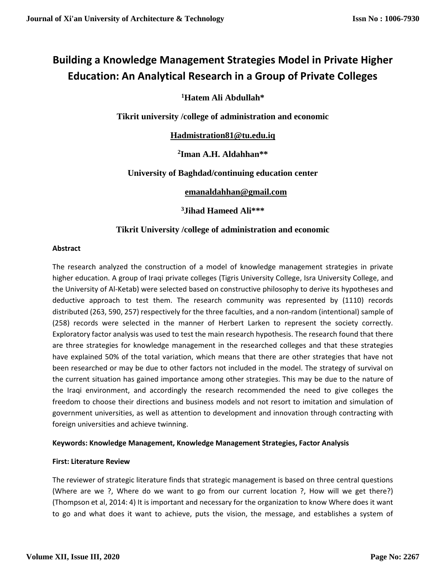# **Building a Knowledge Management Strategies Model in Private Higher Education: An Analytical Research in a Group of Private Colleges**

## **<sup>1</sup>Hatem Ali Abdullah\***

**Tikrit university /college of administration and economic**

**[Hadmistration81@tu.edu.iq](mailto:Hadmistration81@tu.edu.iq)**

**2 Iman A.H. Aldahhan\*\***

## **University of Baghdad/continuing education center**

**[emanaldahhan@gmail.com](mailto:emanaldahhan@gmail.com)**

**<sup>3</sup>Jihad Hameed Ali\*\*\***

## **Tikrit University /college of administration and economic**

#### **Abstract**

The research analyzed the construction of a model of knowledge management strategies in private higher education. A group of Iraqi private colleges (Tigris University College, Isra University College, and the University of Al-Ketab) were selected based on constructive philosophy to derive its hypotheses and deductive approach to test them. The research community was represented by (1110) records distributed (263, 590, 257) respectively for the three faculties, and a non-random (intentional) sample of (258) records were selected in the manner of Herbert Larken to represent the society correctly. Exploratory factor analysis was used to test the main research hypothesis. The research found that there are three strategies for knowledge management in the researched colleges and that these strategies have explained 50% of the total variation, which means that there are other strategies that have not been researched or may be due to other factors not included in the model. The strategy of survival on the current situation has gained importance among other strategies. This may be due to the nature of the Iraqi environment, and accordingly the research recommended the need to give colleges the freedom to choose their directions and business models and not resort to imitation and simulation of government universities, as well as attention to development and innovation through contracting with foreign universities and achieve twinning.

#### **Keywords: Knowledge Management, Knowledge Management Strategies, Factor Analysis**

#### **First: Literature Review**

The reviewer of strategic literature finds that strategic management is based on three central questions (Where are we ?, Where do we want to go from our current location ?, How will we get there?) (Thompson et al, 2014: 4) It is important and necessary for the organization to know Where does it want to go and what does it want to achieve, puts the vision, the message, and establishes a system of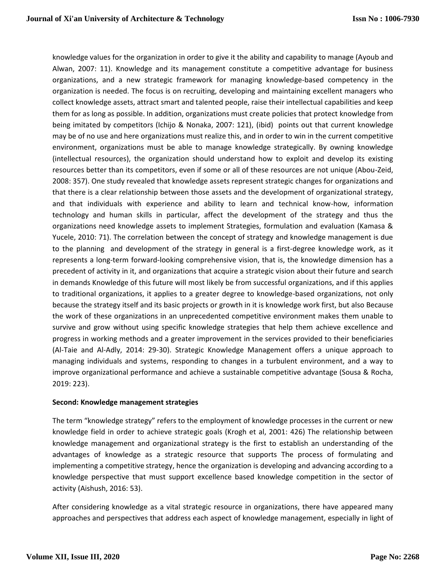knowledge values for the organization in order to give it the ability and capability to manage (Ayoub and Alwan, 2007: 11). Knowledge and its management constitute a competitive advantage for business organizations, and a new strategic framework for managing knowledge-based competency in the organization is needed. The focus is on recruiting, developing and maintaining excellent managers who collect knowledge assets, attract smart and talented people, raise their intellectual capabilities and keep them for as long as possible. In addition, organizations must create policies that protect knowledge from being imitated by competitors (Ichijo & Nonaka, 2007: 121), (ibid) points out that current knowledge may be of no use and here organizations must realize this, and in order to win in the current competitive environment, organizations must be able to manage knowledge strategically. By owning knowledge (intellectual resources), the organization should understand how to exploit and develop its existing resources better than its competitors, even if some or all of these resources are not unique (Abou-Zeid, 2008: 357). One study revealed that knowledge assets represent strategic changes for organizations and that there is a clear relationship between those assets and the development of organizational strategy, and that individuals with experience and ability to learn and technical know-how, information technology and human skills in particular, affect the development of the strategy and thus the organizations need knowledge assets to implement Strategies, formulation and evaluation (Kamasa & Yucele, 2010: 71). The correlation between the concept of strategy and knowledge management is due to the planning and development of the strategy in general is a first-degree knowledge work, as it represents a long-term forward-looking comprehensive vision, that is, the knowledge dimension has a precedent of activity in it, and organizations that acquire a strategic vision about their future and search in demands Knowledge of this future will most likely be from successful organizations, and if this applies to traditional organizations, it applies to a greater degree to knowledge-based organizations, not only because the strategy itself and its basic projects or growth in it is knowledge work first, but also Because the work of these organizations in an unprecedented competitive environment makes them unable to survive and grow without using specific knowledge strategies that help them achieve excellence and progress in working methods and a greater improvement in the services provided to their beneficiaries (Al-Taie and Al-Adly, 2014: 29-30). Strategic Knowledge Management offers a unique approach to managing individuals and systems, responding to changes in a turbulent environment, and a way to improve organizational performance and achieve a sustainable competitive advantage (Sousa & Rocha, 2019: 223).

#### **Second: Knowledge management strategies**

The term "knowledge strategy" refers to the employment of knowledge processes in the current or new knowledge field in order to achieve strategic goals (Krogh et al, 2001: 426) The relationship between knowledge management and organizational strategy is the first to establish an understanding of the advantages of knowledge as a strategic resource that supports The process of formulating and implementing a competitive strategy, hence the organization is developing and advancing according to a knowledge perspective that must support excellence based knowledge competition in the sector of activity (Aishush, 2016: 53).

After considering knowledge as a vital strategic resource in organizations, there have appeared many approaches and perspectives that address each aspect of knowledge management, especially in light of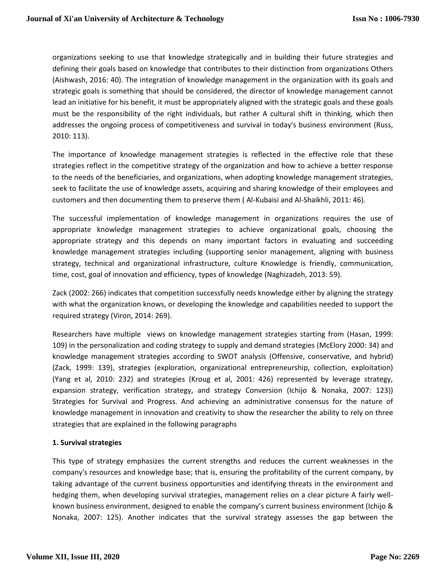organizations seeking to use that knowledge strategically and in building their future strategies and defining their goals based on knowledge that contributes to their distinction from organizations Others (Aishwash, 2016: 40). The integration of knowledge management in the organization with its goals and strategic goals is something that should be considered, the director of knowledge management cannot lead an initiative for his benefit, it must be appropriately aligned with the strategic goals and these goals must be the responsibility of the right individuals, but rather A cultural shift in thinking, which then addresses the ongoing process of competitiveness and survival in today's business environment (Russ, 2010: 113).

The importance of knowledge management strategies is reflected in the effective role that these strategies reflect in the competitive strategy of the organization and how to achieve a better response to the needs of the beneficiaries, and organizations, when adopting knowledge management strategies, seek to facilitate the use of knowledge assets, acquiring and sharing knowledge of their employees and customers and then documenting them to preserve them ( Al-Kubaisi and Al-Shaikhli, 2011: 46).

The successful implementation of knowledge management in organizations requires the use of appropriate knowledge management strategies to achieve organizational goals, choosing the appropriate strategy and this depends on many important factors in evaluating and succeeding knowledge management strategies including (supporting senior management, aligning with business strategy, technical and organizational infrastructure, culture Knowledge is friendly, communication, time, cost, goal of innovation and efficiency, types of knowledge (Naghizadeh, 2013: 59).

Zack (2002: 266) indicates that competition successfully needs knowledge either by aligning the strategy with what the organization knows, or developing the knowledge and capabilities needed to support the required strategy (Viron, 2014: 269).

Researchers have multiple views on knowledge management strategies starting from (Hasan, 1999: 109) in the personalization and coding strategy to supply and demand strategies (McElory 2000: 34) and knowledge management strategies according to SWOT analysis (Offensive, conservative, and hybrid) (Zack, 1999: 139), strategies (exploration, organizational entrepreneurship, collection, exploitation) (Yang et al, 2010: 232) and strategies (Kroug et al, 2001: 426) represented by leverage strategy, expansion strategy, verification strategy, and strategy Conversion (Ichijo & Nonaka, 2007: 123)) Strategies for Survival and Progress. And achieving an administrative consensus for the nature of knowledge management in innovation and creativity to show the researcher the ability to rely on three strategies that are explained in the following paragraphs

#### **1. Survival strategies**

This type of strategy emphasizes the current strengths and reduces the current weaknesses in the company's resources and knowledge base; that is, ensuring the profitability of the current company, by taking advantage of the current business opportunities and identifying threats in the environment and hedging them, when developing survival strategies, management relies on a clear picture A fairly wellknown business environment, designed to enable the company's current business environment (Ichijo & Nonaka, 2007: 125). Another indicates that the survival strategy assesses the gap between the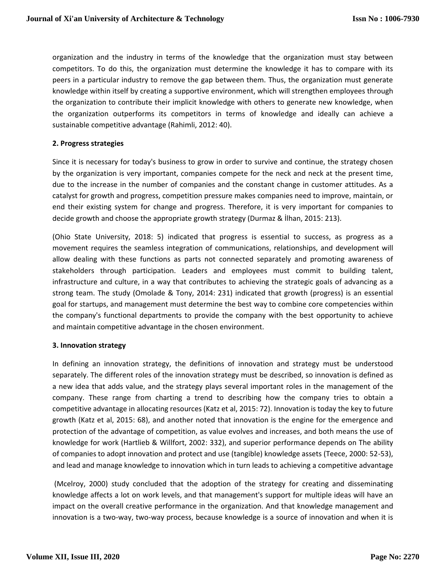organization and the industry in terms of the knowledge that the organization must stay between competitors. To do this, the organization must determine the knowledge it has to compare with its peers in a particular industry to remove the gap between them. Thus, the organization must generate knowledge within itself by creating a supportive environment, which will strengthen employees through the organization to contribute their implicit knowledge with others to generate new knowledge, when the organization outperforms its competitors in terms of knowledge and ideally can achieve a sustainable competitive advantage (Rahimli, 2012: 40).

#### **2. Progress strategies**

Since it is necessary for today's business to grow in order to survive and continue, the strategy chosen by the organization is very important, companies compete for the neck and neck at the present time, due to the increase in the number of companies and the constant change in customer attitudes. As a catalyst for growth and progress, competition pressure makes companies need to improve, maintain, or end their existing system for change and progress. Therefore, it is very important for companies to decide growth and choose the appropriate growth strategy (Durmaz & İlhan, 2015: 213).

(Ohio State University, 2018: 5) indicated that progress is essential to success, as progress as a movement requires the seamless integration of communications, relationships, and development will allow dealing with these functions as parts not connected separately and promoting awareness of stakeholders through participation. Leaders and employees must commit to building talent, infrastructure and culture, in a way that contributes to achieving the strategic goals of advancing as a strong team. The study (Omolade & Tony, 2014: 231) indicated that growth (progress) is an essential goal for startups, and management must determine the best way to combine core competencies within the company's functional departments to provide the company with the best opportunity to achieve and maintain competitive advantage in the chosen environment.

#### **3. Innovation strategy**

In defining an innovation strategy, the definitions of innovation and strategy must be understood separately. The different roles of the innovation strategy must be described, so innovation is defined as a new idea that adds value, and the strategy plays several important roles in the management of the company. These range from charting a trend to describing how the company tries to obtain a competitive advantage in allocating resources (Katz et al, 2015: 72). Innovation is today the key to future growth (Katz et al, 2015: 68), and another noted that innovation is the engine for the emergence and protection of the advantage of competition, as value evolves and increases, and both means the use of knowledge for work (Hartlieb & Willfort, 2002: 332), and superior performance depends on The ability of companies to adopt innovation and protect and use (tangible) knowledge assets (Teece, 2000: 52-53), and lead and manage knowledge to innovation which in turn leads to achieving a competitive advantage

(Mcelroy, 2000) study concluded that the adoption of the strategy for creating and disseminating knowledge affects a lot on work levels, and that management's support for multiple ideas will have an impact on the overall creative performance in the organization. And that knowledge management and innovation is a two-way, two-way process, because knowledge is a source of innovation and when it is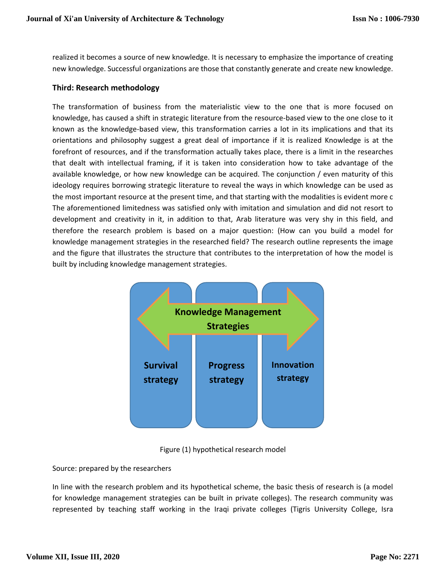realized it becomes a source of new knowledge. It is necessary to emphasize the importance of creating new knowledge. Successful organizations are those that constantly generate and create new knowledge.

### **Third: Research methodology**

The transformation of business from the materialistic view to the one that is more focused on knowledge, has caused a shift in strategic literature from the resource-based view to the one close to it known as the knowledge-based view, this transformation carries a lot in its implications and that its orientations and philosophy suggest a great deal of importance if it is realized Knowledge is at the forefront of resources, and if the transformation actually takes place, there is a limit in the researches that dealt with intellectual framing, if it is taken into consideration how to take advantage of the available knowledge, or how new knowledge can be acquired. The conjunction / even maturity of this ideology requires borrowing strategic literature to reveal the ways in which knowledge can be used as the most important resource at the present time, and that starting with the modalities is evident more c The aforementioned limitedness was satisfied only with imitation and simulation and did not resort to development and creativity in it, in addition to that, Arab literature was very shy in this field, and therefore the research problem is based on a major question: (How can you build a model for knowledge management strategies in the researched field? The research outline represents the image and the figure that illustrates the structure that contributes to the interpretation of how the model is built by including knowledge management strategies.





#### Source: prepared by the researchers

In line with the research problem and its hypothetical scheme, the basic thesis of research is (a model for knowledge management strategies can be built in private colleges). The research community was represented by teaching staff working in the Iraqi private colleges (Tigris University College, Isra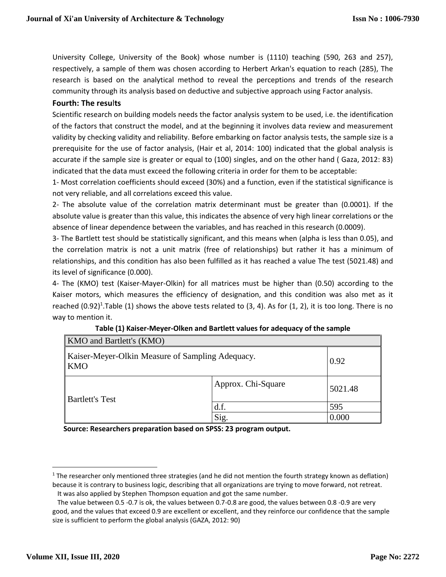University College, University of the Book) whose number is (1110) teaching (590, 263 and 257), respectively, a sample of them was chosen according to Herbert Arkan's equation to reach (285), The research is based on the analytical method to reveal the perceptions and trends of the research community through its analysis based on deductive and subjective approach using Factor analysis.

#### **Fourth: The resu**l**ts**

Scientific research on building models needs the factor analysis system to be used, i.e. the identification of the factors that construct the model, and at the beginning it involves data review and measurement validity by checking validity and reliability. Before embarking on factor analysis tests, the sample size is a prerequisite for the use of factor analysis, (Hair et al, 2014: 100) indicated that the global analysis is accurate if the sample size is greater or equal to (100) singles, and on the other hand ( Gaza, 2012: 83) indicated that the data must exceed the following criteria in order for them to be acceptable:

1- Most correlation coefficients should exceed (30%) and a function, even if the statistical significance is not very reliable, and all correlations exceed this value.

2- The absolute value of the correlation matrix determinant must be greater than (0.0001). If the absolute value is greater than this value, this indicates the absence of very high linear correlations or the absence of linear dependence between the variables, and has reached in this research (0.0009).

3- The Bartlett test should be statistically significant, and this means when (alpha is less than 0.05), and the correlation matrix is not a unit matrix (free of relationships) but rather it has a minimum of relationships, and this condition has also been fulfilled as it has reached a value The test (5021.48) and its level of significance (0.000).

4- The (KMO) test (Kaiser-Mayer-Olkin) for all matrices must be higher than (0.50) according to the Kaiser motors, which measures the efficiency of designation, and this condition was also met as it reached  $(0.92)^1$ .Table  $(1)$  shows the above tests related to  $(3, 4)$ . As for  $(1, 2)$ , it is too long. There is no way to mention it.

| KMO and Bartlett's (KMO)                                       |                    |         |
|----------------------------------------------------------------|--------------------|---------|
| Kaiser-Meyer-Olkin Measure of Sampling Adequacy.<br><b>KMO</b> | 0.92               |         |
| <b>Bartlett's Test</b>                                         | Approx. Chi-Square | 5021.48 |
|                                                                | d.f.               | 595     |
|                                                                | Sig.               | 0.000   |

| Table (1) Kaiser-Meyer-Olken and Bartlett values for adequacy of the sample |  |
|-----------------------------------------------------------------------------|--|
|-----------------------------------------------------------------------------|--|

 **Source: Researchers preparation based on SPSS: 23 program output.**

 $\overline{a}$ 

 $1$  The researcher only mentioned three strategies (and he did not mention the fourth strategy known as deflation) because it is contrary to business logic, describing that all organizations are trying to move forward, not retreat.

It was also applied by Stephen Thompson equation and got the same number.

The value between 0.5 -0.7 is ok, the values between 0.7-0.8 are good, the values between 0.8 -0.9 are very good, and the values that exceed 0.9 are excellent or excellent, and they reinforce our confidence that the sample size is sufficient to perform the global analysis (GAZA, 2012: 90)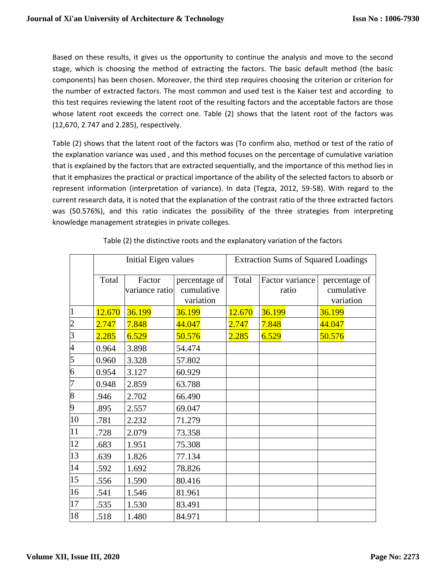Based on these results, it gives us the opportunity to continue the analysis and move to the second stage, which is choosing the method of extracting the factors. The basic default method (the basic components) has been chosen. Moreover, the third step requires choosing the criterion or criterion for the number of extracted factors. The most common and used test is the Kaiser test and according to this test requires reviewing the latent root of the resulting factors and the acceptable factors are those whose latent root exceeds the correct one. Table (2) shows that the latent root of the factors was (12,670, 2.747 and 2.285), respectively.

Table (2) shows that the latent root of the factors was (To confirm also, method or test of the ratio of the explanation variance was used , and this method focuses on the percentage of cumulative variation that is explained by the factors that are extracted sequentially, and the importance of this method lies in that it emphasizes the practical or practical importance of the ability of the selected factors to absorb or represent information (interpretation of variance). In data (Tegza, 2012, 59-58). With regard to the current research data, it is noted that the explanation of the contrast ratio of the three extracted factors was (50.576%), and this ratio indicates the possibility of the three strategies from interpreting knowledge management strategies in private colleges.

|                | <b>Initial Eigen values</b> |                          |                                          | <b>Extraction Sums of Squared Loadings</b> |                          |                                          |  |
|----------------|-----------------------------|--------------------------|------------------------------------------|--------------------------------------------|--------------------------|------------------------------------------|--|
|                | Total                       | Factor<br>variance ratio | percentage of<br>cumulative<br>variation | Total                                      | Factor variance<br>ratio | percentage of<br>cumulative<br>variation |  |
| $\vert$ 1      | 12.670                      | 36.199                   | 36.199                                   | 12.670                                     | 36.199                   | 36.199                                   |  |
| $\overline{c}$ | 2.747                       | 7.848                    | 44.047                                   | 2.747                                      | 7.848                    | 44.047                                   |  |
| $\overline{3}$ | 2.285                       | 6.529                    | 50.576                                   | 2.285                                      | 6.529                    | 50.576                                   |  |
| $\overline{4}$ | 0.964                       | 3.898                    | 54.474                                   |                                            |                          |                                          |  |
| $\overline{5}$ | 0.960                       | 3.328                    | 57.802                                   |                                            |                          |                                          |  |
| $\overline{6}$ | 0.954                       | 3.127                    | 60.929                                   |                                            |                          |                                          |  |
| $\overline{7}$ | 0.948                       | 2.859                    | 63.788                                   |                                            |                          |                                          |  |
| 8              | .946                        | 2.702                    | 66.490                                   |                                            |                          |                                          |  |
| 9              | .895                        | 2.557                    | 69.047                                   |                                            |                          |                                          |  |
| 10             | .781                        | 2.232                    | 71.279                                   |                                            |                          |                                          |  |
| 11             | .728                        | 2.079                    | 73.358                                   |                                            |                          |                                          |  |
| 12             | .683                        | 1.951                    | 75.308                                   |                                            |                          |                                          |  |
| 13             | .639                        | 1.826                    | 77.134                                   |                                            |                          |                                          |  |
| 14             | .592                        | 1.692                    | 78.826                                   |                                            |                          |                                          |  |
| 15             | .556                        | 1.590                    | 80.416                                   |                                            |                          |                                          |  |
| 16             | .541                        | 1.546                    | 81.961                                   |                                            |                          |                                          |  |
| 17             | .535                        | 1.530                    | 83.491                                   |                                            |                          |                                          |  |
| 18             | .518                        | 1.480                    | 84.971                                   |                                            |                          |                                          |  |

Table (2) the distinctive roots and the explanatory variation of the factors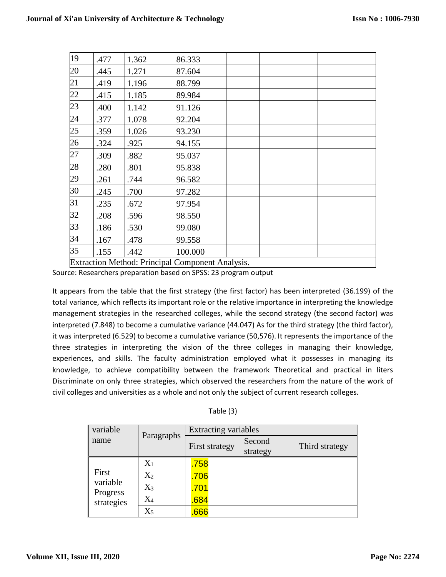| 19 | .477 | 1.362                                            | 86.333  |  |  |  |  |
|----|------|--------------------------------------------------|---------|--|--|--|--|
| 20 | .445 | 1.271                                            | 87.604  |  |  |  |  |
| 21 | .419 | 1.196                                            | 88.799  |  |  |  |  |
| 22 | .415 | 1.185                                            | 89.984  |  |  |  |  |
| 23 | .400 | 1.142                                            | 91.126  |  |  |  |  |
| 24 | .377 | 1.078                                            | 92.204  |  |  |  |  |
| 25 | .359 | 1.026                                            | 93.230  |  |  |  |  |
| 26 | .324 | .925                                             | 94.155  |  |  |  |  |
| 27 | .309 | .882                                             | 95.037  |  |  |  |  |
| 28 | .280 | .801                                             | 95.838  |  |  |  |  |
| 29 | .261 | .744                                             | 96.582  |  |  |  |  |
| 30 | .245 | .700                                             | 97.282  |  |  |  |  |
| 31 | .235 | .672                                             | 97.954  |  |  |  |  |
| 32 | .208 | .596                                             | 98.550  |  |  |  |  |
| 33 | .186 | .530                                             | 99.080  |  |  |  |  |
| 34 | .167 | .478                                             | 99.558  |  |  |  |  |
| 35 | .155 | .442                                             | 100.000 |  |  |  |  |
|    |      | Extraction Method: Principal Component Analysis. |         |  |  |  |  |

Source: Researchers preparation based on SPSS: 23 program output

It appears from the table that the first strategy (the first factor) has been interpreted (36.199) of the total variance, which reflects its important role or the relative importance in interpreting the knowledge management strategies in the researched colleges, while the second strategy (the second factor) was interpreted (7.848) to become a cumulative variance (44.047) As for the third strategy (the third factor), it was interpreted (6.529) to become a cumulative variance (50,576). It represents the importance of the three strategies in interpreting the vision of the three colleges in managing their knowledge, experiences, and skills. The faculty administration employed what it possesses in managing its knowledge, to achieve compatibility between the framework Theoretical and practical in liters Discriminate on only three strategies, which observed the researchers from the nature of the work of civil colleges and universities as a whole and not only the subject of current research colleges.

| Table (3) |  |
|-----------|--|
|-----------|--|

| variable                                    | Paragraphs | <b>Extracting variables</b> |                    |                |
|---------------------------------------------|------------|-----------------------------|--------------------|----------------|
| name                                        |            | First strategy              | Second<br>strategy | Third strategy |
|                                             | $X_1$      | .758                        |                    |                |
| First<br>variable<br>Progress<br>strategies | $X_2$      | .706                        |                    |                |
|                                             | $X_3$      | .701                        |                    |                |
|                                             | $X_4$      | .684                        |                    |                |
|                                             | $\rm X_5$  | .666                        |                    |                |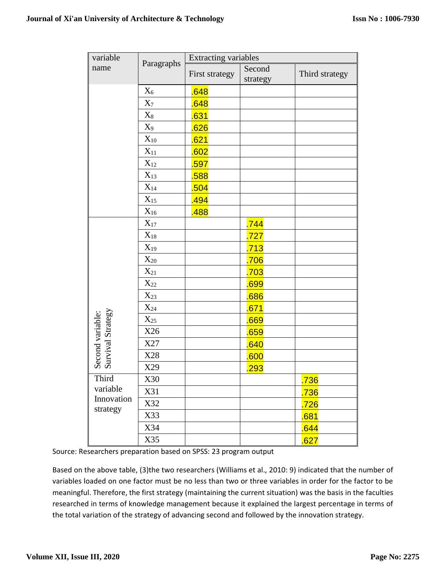| variable                              |                   | Extracting variables |                    |                |
|---------------------------------------|-------------------|----------------------|--------------------|----------------|
| name                                  | Paragraphs        | First strategy       | Second<br>strategy | Third strategy |
|                                       | $X_6$             | .648                 |                    |                |
|                                       | $X_7$             | .648                 |                    |                |
|                                       | $X_8$             | .631                 |                    |                |
|                                       | $X_9$             | .626                 |                    |                |
|                                       | $X_{10}$          | .621                 |                    |                |
|                                       | $X_{11}$          | .602                 |                    |                |
|                                       | $X_{12}$          | .597                 |                    |                |
|                                       | $X_{13}$          | .588                 |                    |                |
|                                       | $\mathbf{X}_{14}$ | .504                 |                    |                |
|                                       | $X_{15}$          | .494                 |                    |                |
|                                       | $X_{16}$          | .488                 |                    |                |
|                                       | $X_{17}$          |                      | .744               |                |
|                                       | $X_{18}$          |                      | .727               |                |
|                                       | $X_{19}$          |                      | .713               |                |
|                                       | $X_{20}$          |                      | .706               |                |
|                                       | $X_{21}$          |                      | .703               |                |
|                                       | $X_{22}$          |                      | .699               |                |
|                                       | $X_{23}$          |                      | .686               |                |
|                                       | $X_{24}$          |                      | .671               |                |
|                                       | $X_{25}$          |                      | .669               |                |
| Second variable:<br>Survival Strategy | X26               |                      | .659               |                |
|                                       | X27               |                      | .640               |                |
|                                       | X28               |                      | .600               |                |
|                                       | X29               |                      | .293               |                |
| Third                                 | X30               |                      |                    | .736           |
| variable<br>Innovation<br>strategy    | X31               |                      |                    | .736           |
|                                       | X32               |                      |                    | .726           |
|                                       | X33               |                      |                    | .681           |
|                                       | X34               |                      |                    | .644           |
|                                       | X35               |                      |                    | .627           |

Source: Researchers preparation based on SPSS: 23 program output

Based on the above table, (3)the two researchers (Williams et al., 2010: 9) indicated that the number of variables loaded on one factor must be no less than two or three variables in order for the factor to be meaningful. Therefore, the first strategy (maintaining the current situation) was the basis in the faculties researched in terms of knowledge management because it explained the largest percentage in terms of the total variation of the strategy of advancing second and followed by the innovation strategy.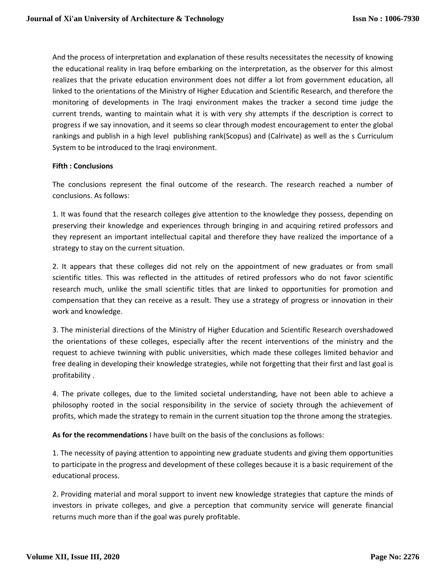And the process of interpretation and explanation of these results necessitates the necessity of knowing the educational reality in Iraq before embarking on the interpretation, as the observer for this almost realizes that the private education environment does not differ a lot from government education, all linked to the orientations of the Ministry of Higher Education and Scientific Research, and therefore the monitoring of developments in The Iraqi environment makes the tracker a second time judge the current trends, wanting to maintain what it is with very shy attempts if the description is correct to progress if we say innovation, and it seems so clear through modest encouragement to enter the global rankings and publish in a high level publishing rank(Scopus) and (Calrivate) as well as the s Curriculum System to be introduced to the Iraqi environment.

#### **Fifth : Conclusions**

The conclusions represent the final outcome of the research. The research reached a number of conclusions. As follows:

1. It was found that the research colleges give attention to the knowledge they possess, depending on preserving their knowledge and experiences through bringing in and acquiring retired professors and they represent an important intellectual capital and therefore they have realized the importance of a strategy to stay on the current situation.

2. It appears that these colleges did not rely on the appointment of new graduates or from small scientific titles. This was reflected in the attitudes of retired professors who do not favor scientific research much, unlike the small scientific titles that are linked to opportunities for promotion and compensation that they can receive as a result. They use a strategy of progress or innovation in their work and knowledge.

3. The ministerial directions of the Ministry of Higher Education and Scientific Research overshadowed the orientations of these colleges, especially after the recent interventions of the ministry and the request to achieve twinning with public universities, which made these colleges limited behavior and free dealing in developing their knowledge strategies, while not forgetting that their first and last goal is profitability .

4. The private colleges, due to the limited societal understanding, have not been able to achieve a philosophy rooted in the social responsibility in the service of society through the achievement of profits, which made the strategy to remain in the current situation top the throne among the strategies.

**As for the recommendations** I have built on the basis of the conclusions as follows:

1. The necessity of paying attention to appointing new graduate students and giving them opportunities to participate in the progress and development of these colleges because it is a basic requirement of the educational process.

2. Providing material and moral support to invent new knowledge strategies that capture the minds of investors in private colleges, and give a perception that community service will generate financial returns much more than if the goal was purely profitable.